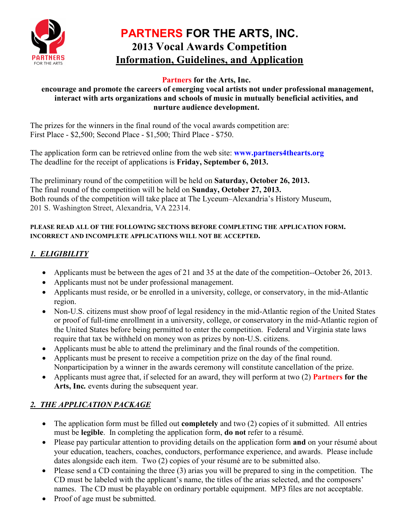

# **PARTNERS FOR THE ARTS, INC. 2013 Vocal Awards Competition Information, Guidelines, and Application**

#### **Partners for the Arts, Inc.**

#### **encourage and promote the careers of emerging vocal artists not under professional management, interact with arts organizations and schools of music in mutually beneficial activities, and nurture audience development.**

The prizes for the winners in the final round of the vocal awards competition are: First Place - \$2,500; Second Place - \$1,500; Third Place - \$750.

The application form can be retrieved online from the web site: **[www.partners4thearts.org](http://www.partners4thearts.org/)** The deadline for the receipt of applications is **Friday, September 6, 2013.**

The preliminary round of the competition will be held on **Saturday, October 26, 2013.** The final round of the competition will be held on **Sunday, October 27, 2013.** Both rounds of the competition will take place at The Lyceum–Alexandria's History Museum, 201 S. Washington Street, Alexandria, VA 22314.

#### **PLEASE READ ALL OF THE FOLLOWING SECTIONS BEFORE COMPLETING THE APPLICATION FORM. INCORRECT AND INCOMPLETE APPLICATIONS WILL NOT BE ACCEPTED.**

## *1. ELIGIBILITY*

- Applicants must be between the ages of 21 and 35 at the date of the competition--October 26, 2013.
- Applicants must not be under professional management.
- Applicants must reside, or be enrolled in a university, college, or conservatory, in the mid-Atlantic region.
- Non-U.S. citizens must show proof of legal residency in the mid-Atlantic region of the United States or proof of full-time enrollment in a university, college, or conservatory in the mid-Atlantic region of the United States before being permitted to enter the competition. Federal and Virginia state laws require that tax be withheld on money won as prizes by non-U.S. citizens.
- Applicants must be able to attend the preliminary and the final rounds of the competition.
- Applicants must be present to receive a competition prize on the day of the final round. Nonparticipation by a winner in the awards ceremony will constitute cancellation of the prize.
- Applicants must agree that, if selected for an award, they will perform at two (2) **Partners for the Arts, Inc***.* events during the subsequent year.

## *2. THE APPLICATION PACKAGE*

- The application form must be filled out **completely** and two (2) copies of it submitted. All entries must be **legible**. In completing the application form, **do not** refer to a résumé.
- Please pay particular attention to providing details on the application form **and** on your résumé about your education, teachers, coaches, conductors, performance experience, and awards. Please include dates alongside each item. Two (2) copies of your résumé are to be submitted also.
- Please send a CD containing the three (3) arias you will be prepared to sing in the competition. The CD must be labeled with the applicant's name, the titles of the arias selected, and the composers' names. The CD must be playable on ordinary portable equipment. MP3 files are not acceptable.
- Proof of age must be submitted.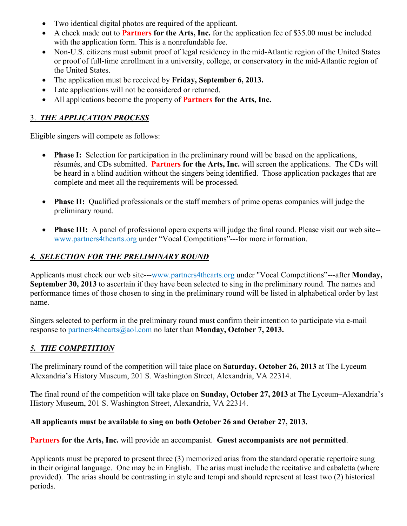- Two identical digital photos are required of the applicant.
- A check made out to **Partners for the Arts, Inc.** for the application fee of \$35.00 must be included with the application form. This is a nonrefundable fee.
- Non-U.S. citizens must submit proof of legal residency in the mid-Atlantic region of the United States or proof of full-time enrollment in a university, college, or conservatory in the mid-Atlantic region of the United States.
- The application must be received by **Friday, September 6, 2013.**
- Late applications will not be considered or returned.
- All applications become the property of **Partners for the Arts, Inc.**

#### 3. *THE APPLICATION PROCESS*

Eligible singers will compete as follows:

- **Phase I:** Selection for participation in the preliminary round will be based on the applications, résumés, and CDs submitted. **Partners for the Arts, Inc.** will screen the applications. The CDs will be heard in a blind audition without the singers being identified. Those application packages that are complete and meet all the requirements will be processed.
- **Phase II:** Qualified professionals or the staff members of prime operas companies will judge the preliminary round.
- **Phase III:** A panel of professional opera experts will judge the final round. Please visit our web site- [www.partners4thearts.org](http://www.partners4thearts.org/) under "Vocal Competitions"---for more information.

#### *4. SELECTION FOR THE PRELIMINARY ROUND*

Applicants must check our web site--[-www.partners4thearts.org](http://www.partners4thearts.org/) under "Vocal Competitions"---after **Monday, September 30, 2013** to ascertain if they have been selected to sing in the preliminary round. The names and performance times of those chosen to sing in the preliminary round will be listed in alphabetical order by last name.

Singers selected to perform in the preliminary round must confirm their intention to participate via e-mail response to [partners4thearts@aol.com](mailto:partners4thearts@aol.com) no later than **Monday, October 7, 2013.**

#### *5. THE COMPETITION*

The preliminary round of the competition will take place on **Saturday, October 26, 2013** at The Lyceum– Alexandria's History Museum, 201 S. Washington Street, Alexandria, VA 22314.

The final round of the competition will take place on **Sunday, October 27, 2013** at The Lyceum–Alexandria's History Museum, 201 S. Washington Street, Alexandria, VA 22314.

#### **All applicants must be available to sing on both October 26 and October 27, 2013.**

#### **Partners for the Arts, Inc.** will provide an accompanist. **Guest accompanists are not permitted**.

Applicants must be prepared to present three (3) memorized arias from the standard operatic repertoire sung in their original language. One may be in English. The arias must include the recitative and cabaletta (where provided). The arias should be contrasting in style and tempi and should represent at least two (2) historical periods.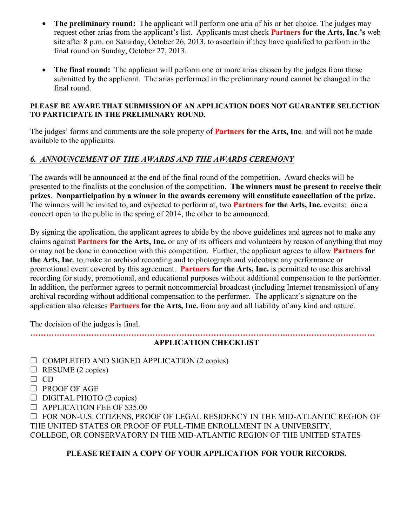- **The preliminary round:** The applicant will perform one aria of his or her choice. The judges may request other arias from the applicant's list. Applicants must check **Partners for the Arts, Inc***.***'s** web site after 8 p.m. on Saturday, October 26, 2013, to ascertain if they have qualified to perform in the final round on Sunday, October 27, 2013.
- **The final round:** The applicant will perform one or more arias chosen by the judges from those submitted by the applicant. The arias performed in the preliminary round cannot be changed in the final round.

#### **PLEASE BE AWARE THAT SUBMISSION OF AN APPLICATION DOES NOT GUARANTEE SELECTION TO PARTICIPATE IN THE PRELIMINARY ROUND.**

The judges' forms and comments are the sole property of **Partners for the Arts, Inc***.* and will not be made available to the applicants.

#### *6. ANNOUNCEMENT OF THE AWARDS AND THE AWARDS CEREMONY*

The awards will be announced at the end of the final round of the competition. Award checks will be presented to the finalists at the conclusion of the competition. **The winners must be present to receive their prizes**. **Nonparticipation by a winner in the awards ceremony will constitute cancellation of the prize.**  The winners will be invited to, and expected to perform at, two **Partners for the Arts, Inc.** events: one a concert open to the public in the spring of 2014, the other to be announced.

By signing the application, the applicant agrees to abide by the above guidelines and agrees not to make any claims against **Partners for the Arts, Inc.** or any of its officers and volunteers by reason of anything that may or may not be done in connection with this competition. Further, the applicant agrees to allow **Partners for the Arts, Inc**. to make an archival recording and to photograph and videotape any performance or promotional event covered by this agreement. **Partners for the Arts, Inc.** is permitted to use this archival recording for study, promotional, and educational purposes without additional compensation to the performer. In addition, the performer agrees to permit noncommercial broadcast (including Internet transmission) of any archival recording without additional compensation to the performer. The applicant's signature on the application also releases **Partners for the Arts, Inc.** from any and all liability of any kind and nature.

The decision of the judges is final.

#### **…………………………………………………………………………………….…………………………… APPLICATION CHECKLIST**

- $\Box$  COMPLETED AND SIGNED APPLICATION (2 copies)
- $\Box$  RESUME (2 copies)
- ☐ CD
- ☐ PROOF OF AGE
- $\Box$  DIGITAL PHOTO (2 copies)
- ☐ APPLICATION FEE OF \$35.00

☐ FOR NON-U.S. CITIZENS, PROOF OF LEGAL RESIDENCY IN THE MID-ATLANTIC REGION OF THE UNITED STATES OR PROOF OF FULL-TIME ENROLLMENT IN A UNIVERSITY, COLLEGE, OR CONSERVATORY IN THE MID-ATLANTIC REGION OF THE UNITED STATES

#### **PLEASE RETAIN A COPY OF YOUR APPLICATION FOR YOUR RECORDS.**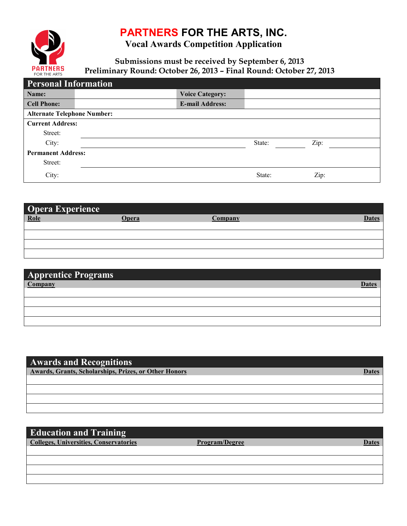# **PARTNERS FOR THE ARTS, INC.**



**Vocal Awards Competition Application**

**Submissions must be received by September 6, 2013 Preliminary Round: October 26, 2013 – Final Round: October 27, 2013**

| <b>Personal Information</b>        |                        |        |      |
|------------------------------------|------------------------|--------|------|
| Name:                              | <b>Voice Category:</b> |        |      |
| <b>Cell Phone:</b>                 | <b>E-mail Address:</b> |        |      |
| <b>Alternate Telephone Number:</b> |                        |        |      |
| <b>Current Address:</b>            |                        |        |      |
| Street:                            |                        |        |      |
| City:                              |                        | State: | Zip: |
| <b>Permanent Address:</b>          |                        |        |      |
| Street:                            |                        |        |      |
| City:                              |                        | State: | Zip: |

| Opera Experience |              |         |       |
|------------------|--------------|---------|-------|
| Role             | <b>Dpera</b> | Company | Dates |
|                  |              |         |       |
|                  |              |         |       |
|                  |              |         |       |
|                  |              |         |       |

| <b>Apprentice Programs</b> |       |
|----------------------------|-------|
|                            | Date: |
|                            |       |
|                            |       |
|                            |       |
|                            |       |

| <b>Awards and Recognitions</b>                        |  |
|-------------------------------------------------------|--|
| Awards, Grants, Scholarships, Prizes, or Other Honors |  |
|                                                       |  |
|                                                       |  |
|                                                       |  |
|                                                       |  |

## **Education and Training**

**Colleges, Universities, Conservatories Program/Degree Dates Dates**